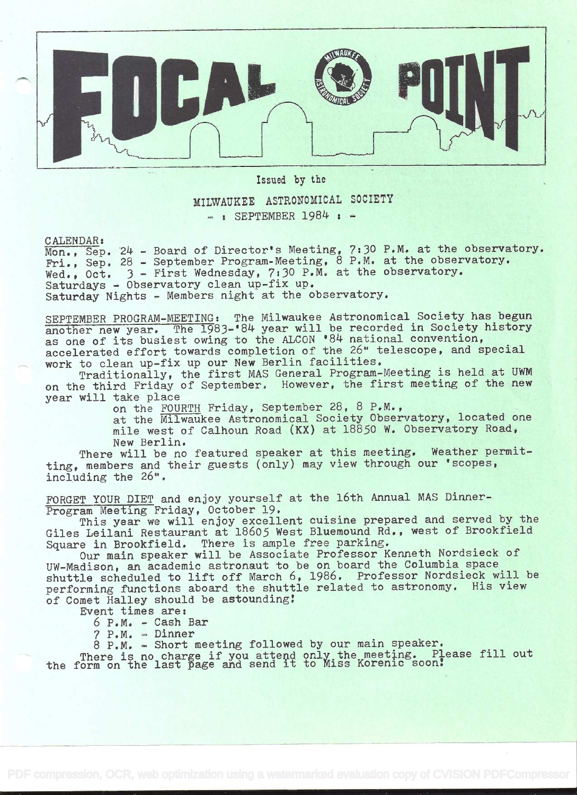

Issued by the MILWAUKEE ASTRONOMICAL SOCIETY  $-$ : SEPTEMBER 1984:  $-$ 

CALENDAR:

Mon., Sep. 24 - Board of Director's Meeting, 7:30 P.M. at the observatory. Fri., Sep. 28 - September Program-Meeting, 8 P.M. at the observatory. Wed., Oct. 3 - First Wednesday, 7:30 P.M. at the observatory. Saturdays - Observatory clean up-fix up. Saturday Nights - Members night at the observatory.

SEPTEMBER PROGRAM-MEETING: The Milwaukee Astronomical Society has begun another new year. The 1983-'84 year will be recorded in Society history as one of its busiest owing to the ALCON '84 national convention, accelerated effort towards completion of the 26" telescope, and special work to clean up-fix up our New Berlin facilities,

Traditionally, the first MAS General Program-Meeting is held at UWM on the third Friday of September. However, the first meeting of the new year will take place

on the FOURTH Friday, September 28, 8 P.M.,

at the Milwaukee Astronomical Society Observatory, located one mile west of Calhoun Road (KX) at 18850 W. Observatory Road, New Berlin.

There will be no featured speaker at this meeting. Weather permitting, members and their guests (only) may view through our 'scopes, including the 26".

FORGET YOUR DIET and enjoy yourself at the 16th Annual MAS Dinner-Program Meeting Friday, October 19.

This year we will enjoy excellent cuisine prepared and served by the Giles Leilani Restaurant at 18605 West Bluemound Rd., west of Brookfield Square in Brookfield. There is ample free parking.

Our main speaker will be Associate Professor Kenneth Nordsieck of UW-Madison, an academic astronaut to be on board the Columbia space shuttle scheduled to lift off March 6, 1986. Professor Nordsieck will be performing functions aboard the shuttle related to astronomy. His view of Comet Halley should be astounding!

Event times are:

6 P.M. - Cash Bar

<sup>7</sup>P.M. - Dinner

8 P.M. - Short meeting followed by our main speaker.

There is no charge if you attend only, the meeting. Please fill out the form on the last page and send it to Miss Korenic soorì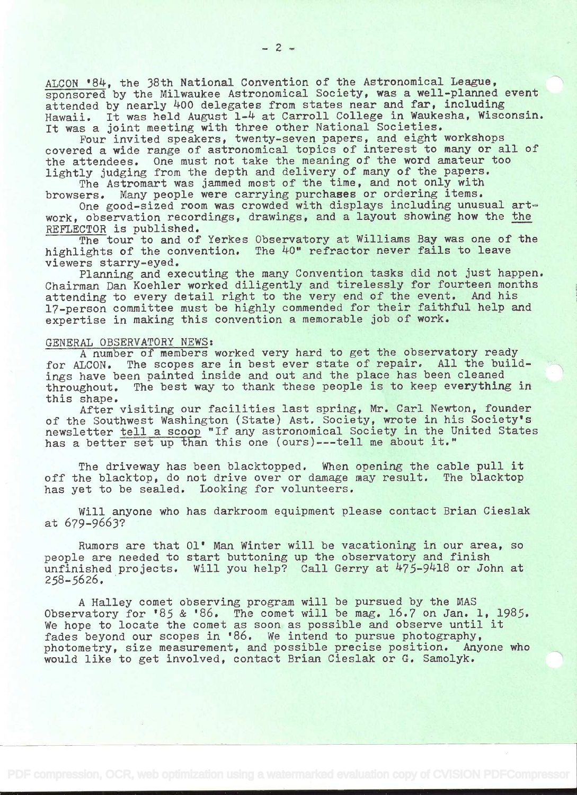ALCON '84, the 38th National Convention of the Astronomical League, sponsored by the Milwaukee Astronomical Society, was a well-planned event attended by nearly 400 delegates from states near and far, including Hawaii. It was held August 1-4 at Carroll College in Waukesha, Wisconsin. It was a joint meeting with three other National Societies.

Four invited speakers, twenty-seven papers, and eight workshops covered a wide range of astronomical topics of interest to many or all of the attendees. One must not take the meaning of the word amateur too lightly judging from the depth and delivery of many of the papers.

The Astromart was jammed most of the time, and not only with browsers. Many people were carrying purchases or ordering items.

One good-sized room was crowded with displays including unusual artwork, observation. recordings, drawings, and a layout showing how the the REFLECTOR is published.

The tour to and of Yerkes Observatory at Williams Bay was one of the highlights of the convention. The 40" refractor never fails to leave viewers starry-eyed.

Planning and executing the many Convention tasks did not just happen. Chairman Dan Koehler worked diligently and tirelessly for fourteen months attending to every detail right to the very end of the event. And his attending to every detail right to the very end of the event. 17-person committee must be highly commended for their faithful help and expertise in making this convention a memorable job of work.

## GENERAL OBSERVATORY NEWS:

A number of members worked very hard to get the observatory ready for ALCON. The scopes are in best ever state of repair. All the buildings have been painted inside and out and the place has been cleaned throughout. The best way to thank these people is to keep everything in this shape.

After visiting our facilities last spring, Mr. Carl Newton, founder of the Southwest Washington (State) Ast. Society, wrote in his Society's newsletter tell a scoop "If any astronomical Society in the United States has a better set up than this one (ours)---tell me about it."

The driveway has been blacktopped. When opening the cable pull it off the blacktop, do not drive over or damage may result. The blacktop has yet to be sealed. Looking for volunteers.

Will anyone who has darkroom equipment please contact Brian Cieslak at 679-9663?

Rumors are that 01' Man Winter will be vacationing in our area, so people are needed to start buttoning up the observatory and finish unfinished projects. Will you help? Call Gerry at 475-9418 or John at 258-5626.

A Halley comet observing program will be pursued by the MAS Observatory for '85 & '86. The comet will be mag. 16.7 on Jan. 1, 1985. We hope to locate the comet as soon as possible and observe until it fades beyond our scopes in '86. We intend to pursue photography, photometry, size measurement, and possible precise position. Anyone who would like to get involved, contact Brian Cieslak or G. Samolyk.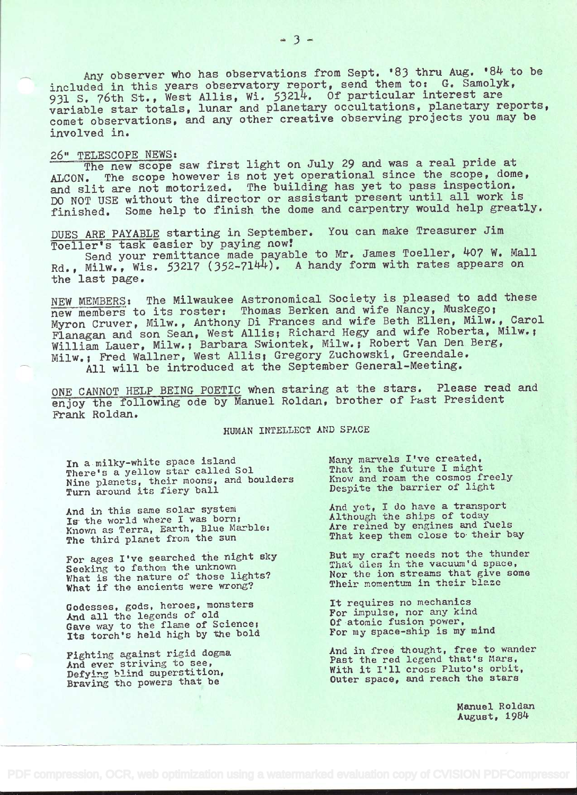Any observer who has observations from Sept. '83 thru Aug. '84 to be included in this years observatory report, send them to: G. Samolyk, 931 S. 76th St., West Allis, Wi. 53214. Of particular interest are variable star totals, lunar and planetary occultations, planetary reports, comet observations, and any other creative observing projects you may be involved in.

## 26" TELESCOPE NEWS

The new scope saw first light on July 29 and was a real pride at ALCON. The scope however is not yet operational since the scope, dome, and slit are not motorized. The building has yet to pass inspection. DO NOT USE without the director or assistant present until all work is finished. Some help to finish the dome and carpentry would help greatly.

DUES ARE PAYABLE starting in September. You can make Treasurer Jim<br>Toeller's task easier by paying now! Toeller's task easier by paying now?

Send your remittance made payable to Mr. James Toeller, 407 W. Mall Rd., Milw., Wis. 53217 (352-7144). A handy form with rates appears on the last page.

NEW MEMBERS: The Milwaukee Astronomical Society is pleased to add these new members to its roster: Thomas Berken and wife Nancy, Muskego; Myron Cruver, Milw., Anthony Dì Frances and wife Beth Ellen, Milw., Carol Flanagan and son Sean, West Allis; Richard Hegy and wife Roberta, Milw.; William Lauer, Milw.; Barbara Swiontek, Milw.; Robert Van Den Berg, Milw.; Fred Wailner, West Allis; Gregory Zuchowski, Greendale.

All will be introduced at the September General-Meeting.

ONE CANNOT HELP BEING POETIC when staring at the stars. Please read and enjoy the following ode by Manuel Roldan, brother of Fast President Frank Roldan.

## HUMAN INTELLECT AND SPACE

In a milky-white space island There's a yellow star called Sol Nine planets, their moons, and boulders Know Turn around its fiery ball

And in this same solar system Is the world where I was born; Known as Terra, Earth, Blue Marbles The third planet from the sun

For ages I've searched the night sky Seeking to fathom the unknown What is the nature of those lights? What if the ancients were wrong?

Godesses, gods, heroes, monsters And all the legends of old Gave way to the flame of Science; Its torch's held high by the bold

Fighting against rigid dogma And ever striving to see, Defying blind superstition, Braving the powers that be

Many marvels I've created, That in the future I might Know and roam the cosmos freely Despite the barrier of light

And yet, I do have a transport Although the ships of today Are reined by engines and fuels That keep them close to their bay

But my craft needs not the thunder That dies in the vacuum'd space, Nor the ion streams that give some Their momentum in their blaze

It requires no mechanics For impulse, nor any kind Of atomic fusion power, For my space-ship is my mind

And in free thought, free to wander Past the red legend that's Mars, With it I'll cross Pluto's orbit, Outer space, and reach the stars

> Manuel Roldan August, 198k